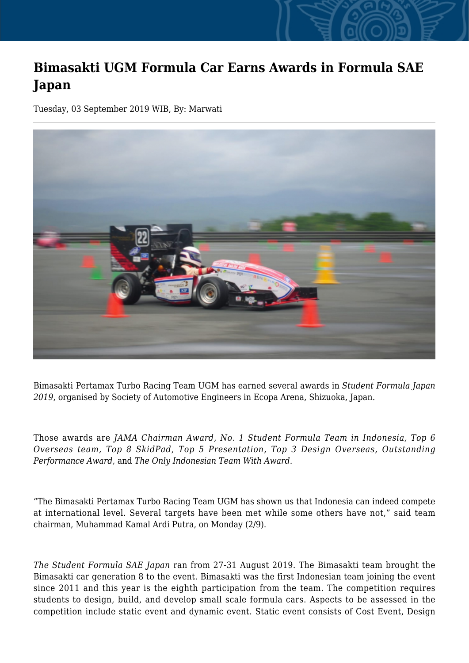## **Bimasakti UGM Formula Car Earns Awards in Formula SAE Japan**

Tuesday, 03 September 2019 WIB, By: Marwati



Bimasakti Pertamax Turbo Racing Team UGM has earned several awards in *Student Formula Japan 2019*, organised by Society of Automotive Engineers in Ecopa Arena, Shizuoka, Japan.

Those awards are *JAMA Chairman Award*, *No. 1 Student Formula Team in Indonesia, Top 6 Overseas team, Top 8 SkidPad, Top 5 Presentation, Top 3 Design Overseas, Outstanding Performance Award,* and *The Only Indonesian Team With Award*.

"The Bimasakti Pertamax Turbo Racing Team UGM has shown us that Indonesia can indeed compete at international level. Several targets have been met while some others have not," said team chairman, Muhammad Kamal Ardi Putra, on Monday (2/9).

*The Student Formula SAE Japan* ran from 27-31 August 2019. The Bimasakti team brought the Bimasakti car generation 8 to the event. Bimasakti was the first Indonesian team joining the event since 2011 and this year is the eighth participation from the team. The competition requires students to design, build, and develop small scale formula cars. Aspects to be assessed in the competition include static event and dynamic event. Static event consists of Cost Event, Design